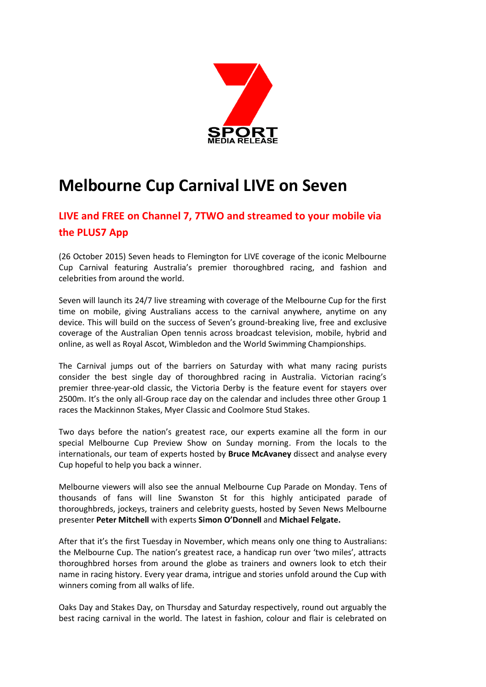

# **Melbourne Cup Carnival LIVE on Seven**

# **LIVE and FREE on Channel 7, 7TWO and streamed to your mobile via the PLUS7 App**

(26 October 2015) Seven heads to Flemington for LIVE coverage of the iconic Melbourne Cup Carnival featuring Australia's premier thoroughbred racing, and fashion and celebrities from around the world.

Seven will launch its 24/7 live streaming with coverage of the Melbourne Cup for the first time on mobile, giving Australians access to the carnival anywhere, anytime on any device. This will build on the success of Seven's ground-breaking live, free and exclusive coverage of the Australian Open tennis across broadcast television, mobile, hybrid and online, as well as Royal Ascot, Wimbledon and the World Swimming Championships.

The Carnival jumps out of the barriers on Saturday with what many racing purists consider the best single day of thoroughbred racing in Australia. Victorian racing's premier three-year-old classic, the Victoria Derby is the feature event for stayers over 2500m. It's the only all-Group race day on the calendar and includes three other Group 1 races the Mackinnon Stakes, Myer Classic and Coolmore Stud Stakes.

Two days before the nation's greatest race, our experts examine all the form in our special Melbourne Cup Preview Show on Sunday morning. From the locals to the internationals, our team of experts hosted by **Bruce McAvaney** dissect and analyse every Cup hopeful to help you back a winner.

Melbourne viewers will also see the annual Melbourne Cup Parade on Monday. Tens of thousands of fans will line Swanston St for this highly anticipated parade of thoroughbreds, jockeys, trainers and celebrity guests, hosted by Seven News Melbourne presenter **Peter Mitchell** with experts **Simon O'Donnell** and **Michael Felgate.**

After that it's the first Tuesday in November, which means only one thing to Australians: the Melbourne Cup. The nation's greatest race, a handicap run over 'two miles', attracts thoroughbred horses from around the globe as trainers and owners look to etch their name in racing history. Every year drama, intrigue and stories unfold around the Cup with winners coming from all walks of life.

Oaks Day and Stakes Day, on Thursday and Saturday respectively, round out arguably the best racing carnival in the world. The latest in fashion, colour and flair is celebrated on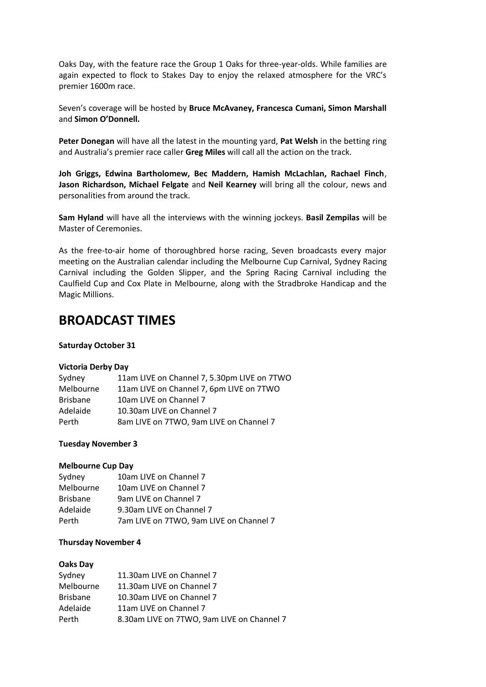Oaks Day, with the feature race the Group 1 Oaks for three-year-olds. While families are again expected to flock to Stakes Day to enjoy the relaxed atmosphere for the VRC's premier 1600m race.

Seven's coverage will be hosted by **Bruce McAvaney, Francesca Cumani, Simon Marshall**  and **Simon O'Donnell.** 

**Peter Donegan** will have all the latest in the mounting yard, **Pat Welsh** in the betting ring and Australia's premier race caller **Greg Miles** will call all the action on the track.

**Joh Griggs, Edwina Bartholomew, Bec Maddern, Hamish McLachlan, Rachael Finch**, **Jason Richardson, Michael Felgate** and **Neil Kearney** will bring all the colour, news and personalities from around the track.

**Sam Hyland** will have all the interviews with the winning jockeys. **Basil Zempilas** will be Master of Ceremonies.

As the free-to-air home of thoroughbred horse racing, Seven broadcasts every major meeting on the Australian calendar including the Melbourne Cup Carnival, Sydney Racing Carnival including the Golden Slipper, and the Spring Racing Carnival including the Caulfield Cup and Cox Plate in Melbourne, along with the Stradbroke Handicap and the Magic Millions.

# **BROADCAST TIMES**

# **Saturday October 31**

# **Victoria Derby Day**

| Sydney          | 11am LIVE on Channel 7, 5.30pm LIVE on 7TWO |
|-----------------|---------------------------------------------|
| Melbourne       | 11am LIVE on Channel 7, 6pm LIVE on 7TWO    |
| <b>Brisbane</b> | 10am LIVE on Channel 7                      |
| Adelaide        | 10.30am LIVE on Channel 7                   |
| Perth           | 8am LIVE on 7TWO, 9am LIVE on Channel 7     |

# **Tuesday November 3**

#### **Melbourne Cup Day**

| Sydney          | 10am LIVE on Channel 7                  |
|-----------------|-----------------------------------------|
| Melbourne       | 10am LIVE on Channel 7                  |
| <b>Brisbane</b> | 9am LIVE on Channel 7                   |
| Adelaide        | 9.30am LIVE on Channel 7                |
| Perth           | 7am LIVE on 7TWO, 9am LIVE on Channel 7 |

#### **Thursday November 4**

#### **Oaks Day**

| Sydney          | 11.30am LIVE on Channel 7                  |
|-----------------|--------------------------------------------|
| Melbourne       | 11.30am LIVE on Channel 7                  |
| <b>Brisbane</b> | 10.30am LIVE on Channel 7                  |
| Adelaide        | 11am LIVE on Channel 7                     |
| Perth           | 8.30am LIVE on 7TWO, 9am LIVE on Channel 7 |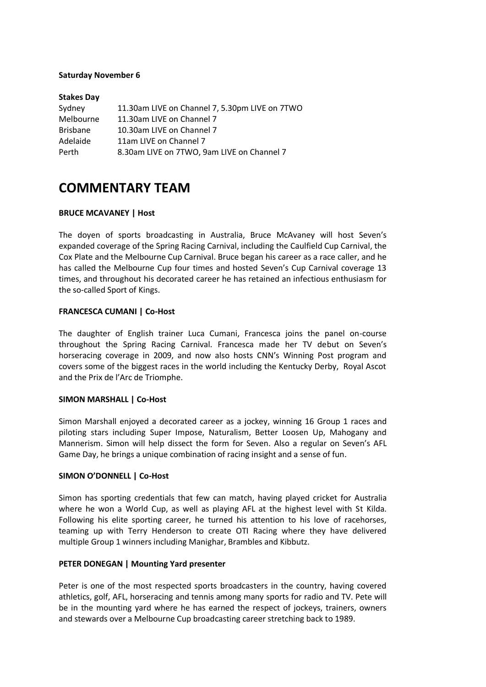# **Saturday November 6**

| <b>Stakes Day</b> |                                                |
|-------------------|------------------------------------------------|
| Sydney            | 11.30am LIVE on Channel 7, 5.30pm LIVE on 7TWO |
| Melbourne         | 11.30am LIVE on Channel 7                      |
| <b>Brisbane</b>   | 10.30am LIVE on Channel 7                      |
| Adelaide          | 11am LIVE on Channel 7                         |
| Perth             | 8.30am LIVE on 7TWO, 9am LIVE on Channel 7     |

# **COMMENTARY TEAM**

# **BRUCE MCAVANEY | Host**

The doyen of sports broadcasting in Australia, Bruce McAvaney will host Seven's expanded coverage of the Spring Racing Carnival, including the Caulfield Cup Carnival, the Cox Plate and the Melbourne Cup Carnival. Bruce began his career as a race caller, and he has called the Melbourne Cup four times and hosted Seven's Cup Carnival coverage 13 times, and throughout his decorated career he has retained an infectious enthusiasm for the so-called Sport of Kings.

# **FRANCESCA CUMANI | Co-Host**

The daughter of English trainer Luca Cumani, Francesca joins the panel on-course throughout the Spring Racing Carnival. Francesca made her TV debut on Seven's horseracing coverage in 2009, and now also hosts CNN's Winning Post program and covers some of the biggest races in the world including the Kentucky Derby, Royal Ascot and the Prix de l'Arc de Triomphe.

#### **SIMON MARSHALL | Co-Host**

Simon Marshall enjoyed a decorated career as a jockey, winning 16 Group 1 races and piloting stars including Super Impose, Naturalism, Better Loosen Up, Mahogany and Mannerism. Simon will help dissect the form for Seven. Also a regular on Seven's AFL Game Day, he brings a unique combination of racing insight and a sense of fun.

#### **SIMON O'DONNELL | Co-Host**

Simon has sporting credentials that few can match, having played cricket for Australia where he won a World Cup, as well as playing AFL at the highest level with St Kilda. Following his elite sporting career, he turned his attention to his love of racehorses, teaming up with Terry Henderson to create OTI Racing where they have delivered multiple Group 1 winners including Manighar, Brambles and Kibbutz.

#### **PETER DONEGAN | Mounting Yard presenter**

Peter is one of the most respected sports broadcasters in the country, having covered athletics, golf, AFL, horseracing and tennis among many sports for radio and TV. Pete will be in the mounting yard where he has earned the respect of jockeys, trainers, owners and stewards over a Melbourne Cup broadcasting career stretching back to 1989.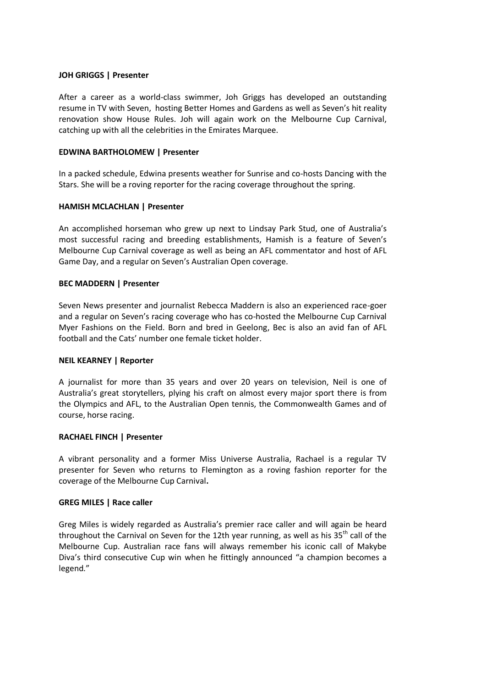# **JOH GRIGGS | Presenter**

After a career as a world-class swimmer, Joh Griggs has developed an outstanding resume in TV with Seven, hosting Better Homes and Gardens as well as Seven's hit reality renovation show House Rules. Joh will again work on the Melbourne Cup Carnival, catching up with all the celebrities in the Emirates Marquee.

#### **EDWINA BARTHOLOMEW | Presenter**

In a packed schedule, Edwina presents weather for Sunrise and co-hosts Dancing with the Stars. She will be a roving reporter for the racing coverage throughout the spring.

# **HAMISH MCLACHLAN | Presenter**

An accomplished horseman who grew up next to Lindsay Park Stud, one of Australia's most successful racing and breeding establishments, Hamish is a feature of Seven's Melbourne Cup Carnival coverage as well as being an AFL commentator and host of AFL Game Day, and a regular on Seven's Australian Open coverage.

# **BEC MADDERN | Presenter**

Seven News presenter and journalist Rebecca Maddern is also an experienced race-goer and a regular on Seven's racing coverage who has co-hosted the Melbourne Cup Carnival Myer Fashions on the Field. Born and bred in Geelong, Bec is also an avid fan of AFL football and the Cats' number one female ticket holder.

#### **NEIL KEARNEY | Reporter**

A journalist for more than 35 years and over 20 years on television, Neil is one of Australia's great storytellers, plying his craft on almost every major sport there is from the Olympics and AFL, to the Australian Open tennis, the Commonwealth Games and of course, horse racing.

# **RACHAEL FINCH | Presenter**

A vibrant personality and a former Miss Universe Australia, Rachael is a regular TV presenter for Seven who returns to Flemington as a roving fashion reporter for the coverage of the Melbourne Cup Carnival**.**

#### **GREG MILES | Race caller**

Greg Miles is widely regarded as Australia's premier race caller and will again be heard throughout the Carnival on Seven for the 12th year running, as well as his  $35<sup>th</sup>$  call of the Melbourne Cup. Australian race fans will always remember his iconic call of Makybe Diva's third consecutive Cup win when he fittingly announced "a champion becomes a legend."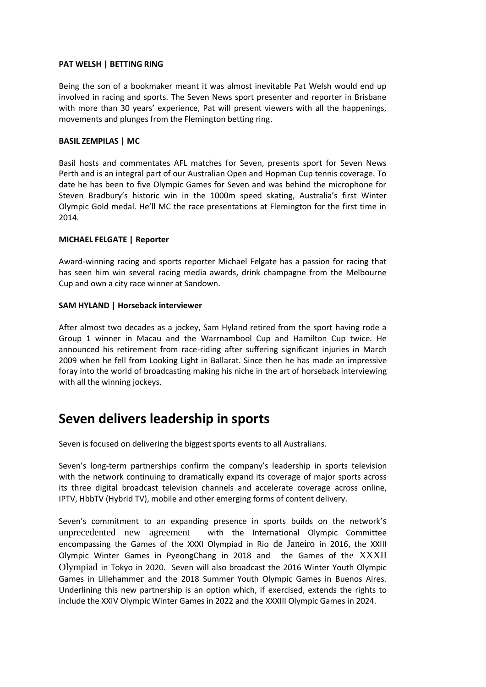# **PAT WELSH | BETTING RING**

Being the son of a bookmaker meant it was almost inevitable Pat Welsh would end up involved in racing and sports. The Seven News sport presenter and reporter in Brisbane with more than 30 years' experience, Pat will present viewers with all the happenings, movements and plunges from the Flemington betting ring.

# **BASIL ZEMPILAS | MC**

Basil hosts and commentates AFL matches for Seven, presents sport for Seven News Perth and is an integral part of our Australian Open and Hopman Cup tennis coverage. To date he has been to five Olympic Games for Seven and was behind the microphone for Steven Bradbury's historic win in the 1000m speed skating, Australia's first Winter Olympic Gold medal. He'll MC the race presentations at Flemington for the first time in 2014.

# **MICHAEL FELGATE | Reporter**

Award-winning racing and sports reporter Michael Felgate has a passion for racing that has seen him win several racing media awards, drink champagne from the Melbourne Cup and own a city race winner at Sandown.

# **SAM HYLAND | Horseback interviewer**

After almost two decades as a jockey, Sam Hyland retired from the sport having rode a Group 1 winner in Macau and the Warrnambool Cup and Hamilton Cup twice. He announced his retirement from race-riding after suffering significant injuries in March 2009 when he fell from Looking Light in Ballarat. Since then he has made an impressive foray into the world of broadcasting making his niche in the art of horseback interviewing with all the winning jockeys.

# **Seven delivers leadership in sports**

Seven is focused on delivering the biggest sports events to all Australians.

Seven's long-term partnerships confirm the company's leadership in sports television with the network continuing to dramatically expand its coverage of major sports across its three digital broadcast television channels and accelerate coverage across online, IPTV, HbbTV (Hybrid TV), mobile and other emerging forms of content delivery.

Seven's commitment to an expanding presence in sports builds on the network's unprecedented new agreement with the International Olympic Committee encompassing the Games of the XXXI Olympiad in Rio de Janeiro in 2016, the XXIII Olympic Winter Games in PyeongChang in 2018 and the Games of the XXXII Olympiad in Tokyo in 2020. Seven will also broadcast the 2016 Winter Youth Olympic Games in Lillehammer and the 2018 Summer Youth Olympic Games in Buenos Aires. Underlining this new partnership is an option which, if exercised, extends the rights to include the XXIV Olympic Winter Games in 2022 and the XXXIII Olympic Games in 2024.